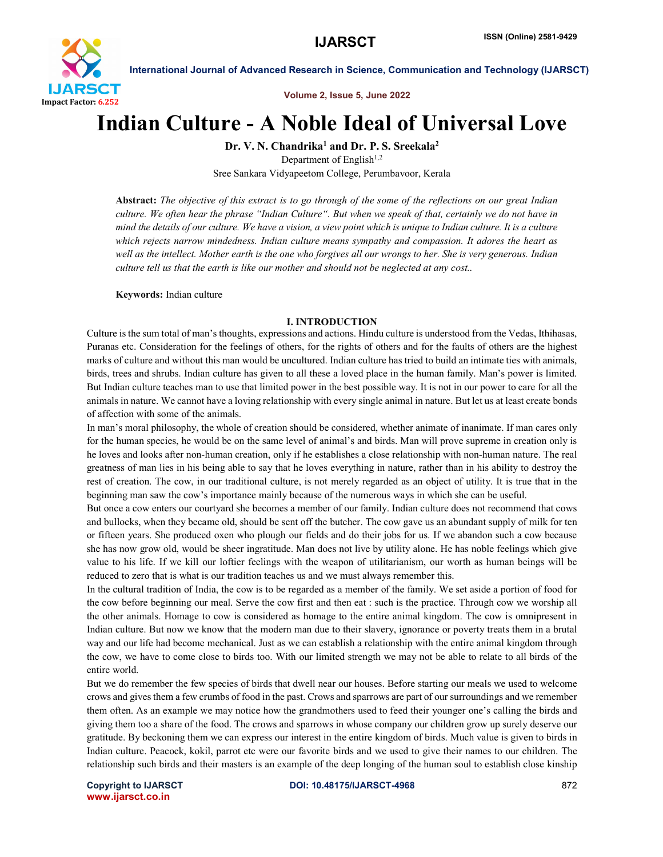

International Journal of Advanced Research in Science, Communication and Technology (IJARSCT)

Volume 2, Issue 5, June 2022

## Indian Culture - A Noble Ideal of Universal Love

Dr. V. N. Chandrika<sup>1</sup> and Dr. P. S. Sreekala<sup>2</sup>

Department of English $1,2$ Sree Sankara Vidyapeetom College, Perumbavoor, Kerala

Abstract: *The objective of this extract is to go through of the some of the reflections on our great Indian culture. We often hear the phrase "Indian Culture". But when we speak of that, certainly we do not have in mind the details of our culture. We have a vision, a view point which is unique to Indian culture. It is a culture which rejects narrow mindedness. Indian culture means sympathy and compassion. It adores the heart as well as the intellect. Mother earth is the one who forgives all our wrongs to her. She is very generous. Indian culture tell us that the earth is like our mother and should not be neglected at any cost..*

Keywords: Indian culture

## I. INTRODUCTION

Culture is the sum total of man's thoughts, expressions and actions. Hindu culture is understood from the Vedas, Ithihasas, Puranas etc. Consideration for the feelings of others, for the rights of others and for the faults of others are the highest marks of culture and without this man would be uncultured. Indian culture has tried to build an intimate ties with animals, birds, trees and shrubs. Indian culture has given to all these a loved place in the human family. Man's power is limited. But Indian culture teaches man to use that limited power in the best possible way. It is not in our power to care for all the animals in nature. We cannot have a loving relationship with every single animal in nature. But let us at least create bonds of affection with some of the animals.

In man's moral philosophy, the whole of creation should be considered, whether animate of inanimate. If man cares only for the human species, he would be on the same level of animal's and birds. Man will prove supreme in creation only is he loves and looks after non-human creation, only if he establishes a close relationship with non-human nature. The real greatness of man lies in his being able to say that he loves everything in nature, rather than in his ability to destroy the rest of creation. The cow, in our traditional culture, is not merely regarded as an object of utility. It is true that in the beginning man saw the cow's importance mainly because of the numerous ways in which she can be useful.

But once a cow enters our courtyard she becomes a member of our family. Indian culture does not recommend that cows and bullocks, when they became old, should be sent off the butcher. The cow gave us an abundant supply of milk for ten or fifteen years. She produced oxen who plough our fields and do their jobs for us. If we abandon such a cow because she has now grow old, would be sheer ingratitude. Man does not live by utility alone. He has noble feelings which give value to his life. If we kill our loftier feelings with the weapon of utilitarianism, our worth as human beings will be reduced to zero that is what is our tradition teaches us and we must always remember this.

In the cultural tradition of India, the cow is to be regarded as a member of the family. We set aside a portion of food for the cow before beginning our meal. Serve the cow first and then eat : such is the practice. Through cow we worship all the other animals. Homage to cow is considered as homage to the entire animal kingdom. The cow is omnipresent in Indian culture. But now we know that the modern man due to their slavery, ignorance or poverty treats them in a brutal way and our life had become mechanical. Just as we can establish a relationship with the entire animal kingdom through the cow, we have to come close to birds too. With our limited strength we may not be able to relate to all birds of the entire world.

But we do remember the few species of birds that dwell near our houses. Before starting our meals we used to welcome crows and givesthem a few crumbs of food in the past. Crows and sparrows are part of our surroundings and we remember them often. As an example we may notice how the grandmothers used to feed their younger one's calling the birds and giving them too a share of the food. The crows and sparrows in whose company our children grow up surely deserve our gratitude. By beckoning them we can express our interest in the entire kingdom of birds. Much value is given to birds in Indian culture. Peacock, kokil, parrot etc were our favorite birds and we used to give their names to our children. The relationship such birds and their masters is an example of the deep longing of the human soul to establish close kinship

www.ijarsct.co.in